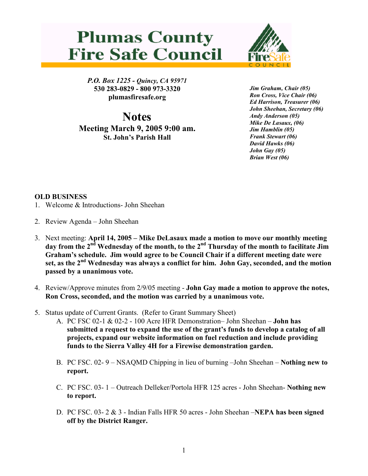



P.O. Box 1225 - Quincy, CA 95971 530 283-0829 - 800 973-3320 plumasfiresafe.org

**Notes** Meeting March 9, 2005 9:00 am. St. John's Parish Hall

Jim Graham, Chair (05) Ron Cross, Vice Chair (06) Ed Harrison, Treasurer (06) John Sheehan, Secretary (06) Andy Anderson (05) Mike De Lasaux, (06) Jim Hamblin (05) Frank Stewart (06) David Hawks (06) John Gay (05) Brian West (06)

## OLD BUSINESS

- 1. Welcome & Introductions- John Sheehan
- 2. Review Agenda John Sheehan
- 3. Next meeting: April 14, 2005 Mike DeLasaux made a motion to move our monthly meeting day from the 2<sup>nd</sup> Wednesday of the month, to the 2<sup>nd</sup> Thursday of the month to facilitate Jim Graham's schedule. Jim would agree to be Council Chair if a different meeting date were set, as the  $2<sup>nd</sup>$  Wednesday was always a conflict for him. John Gay, seconded, and the motion passed by a unanimous vote.
- 4. Review/Approve minutes from 2/9/05 meeting John Gay made a motion to approve the notes, Ron Cross, seconded, and the motion was carried by a unanimous vote.
- 5. Status update of Current Grants. (Refer to Grant Summary Sheet)
	- A. PC FSC 02-1 & 02-2 100 Acre HFR Demonstration– John Sheehan John has submitted a request to expand the use of the grant's funds to develop a catalog of all projects, expand our website information on fuel reduction and include providing funds to the Sierra Valley 4H for a Firewise demonstration garden.
	- B. PC FSC. 02- 9 NSAQMD Chipping in lieu of burning –John Sheehan Nothing new to report.
	- C. PC FSC. 03- 1 Outreach Delleker/Portola HFR 125 acres John Sheehan- Nothing new to report.
	- D. PC FSC. 03-  $2 \& 3$  Indian Falls HFR 50 acres John Sheehan –NEPA has been signed off by the District Ranger.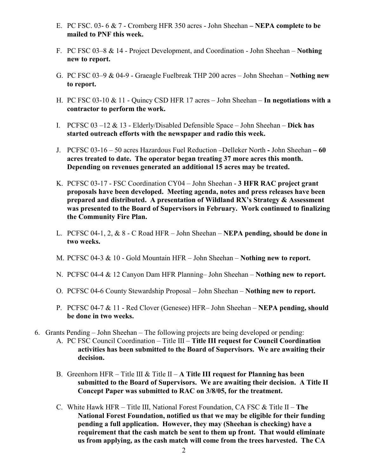- E. PC FSC. 03- 6 & 7 Cromberg HFR 350 acres John Sheehan NEPA complete to be mailed to PNF this week.
- F. PC FSC 03–8 & 14 Project Development, and Coordination John Sheehan Nothing new to report.
- G. PC FSC 03–9 & 04-9 Graeagle Fuelbreak THP 200 acres John Sheehan Nothing new to report.
- H. PC FSC 03-10 & 11 Quincy CSD HFR 17 acres John Sheehan In negotiations with a contractor to perform the work.
- I. PCFSC  $03 12 \& 13$  Elderly/Disabled Defensible Space John Sheehan Dick has started outreach efforts with the newspaper and radio this week.
- J. PCFSC 03-16 50 acres Hazardous Fuel Reduction –Delleker North John Sheehan 60 acres treated to date. The operator began treating 37 more acres this month. Depending on revenues generated an additional 15 acres may be treated.
- K. PCFSC 03-17 FSC Coordination CY04 John Sheehan 3 HFR RAC project grant proposals have been developed. Meeting agenda, notes and press releases have been prepared and distributed. A presentation of Wildland RX's Strategy & Assessment was presented to the Board of Supervisors in February. Work continued to finalizing the Community Fire Plan.
- L. PCFSC 04-1, 2,  $& 8$  C Road HFR John Sheehan NEPA pending, should be done in two weeks.
- M. PCFSC 04-3 & 10 Gold Mountain HFR John Sheehan Nothing new to report.
- N. PCFSC 04-4 & 12 Canyon Dam HFR Planning– John Sheehan Nothing new to report.
- O. PCFSC 04-6 County Stewardship Proposal John Sheehan Nothing new to report.
- P. PCFSC 04-7 & 11 Red Clover (Genesee) HFR– John Sheehan NEPA pending, should be done in two weeks.
- 6. Grants Pending John Sheehan The following projects are being developed or pending:
	- A. PC FSC Council Coordination Title III Title III request for Council Coordination activities has been submitted to the Board of Supervisors. We are awaiting their decision.
	- B. Greenhorn HFR Title III & Title II A Title III request for Planning has been submitted to the Board of Supervisors. We are awaiting their decision. A Title II Concept Paper was submitted to RAC on 3/8/05, for the treatment.
	- C. White Hawk HFR Title III, National Forest Foundation, CA FSC & Title II The National Forest Foundation, notified us that we may be eligible for their funding pending a full application. However, they may (Sheehan is checking) have a requirement that the cash match be sent to them up front. That would eliminate us from applying, as the cash match will come from the trees harvested. The CA